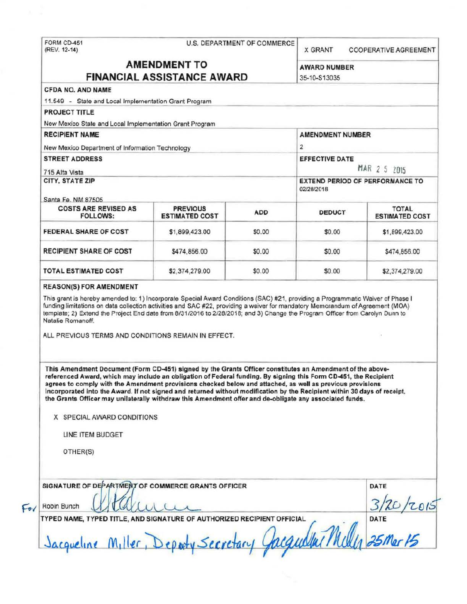FORM CD-451<br>(REV. 12-14)

# U.S. DEPARTMENT OF COMMERCE

X GRANT **COOPERATIVE AGREEMENT** 

#### **AMENDMENT TO**  $\cdots$  $-$

**AWARD NUMBER** 

| 11.549 - State and Local Implementation Grant Program<br><b>PROJECT TITLE</b>                                                                                                                                                                                                                                                              |                |                       |                                                                                                                                |                 |  |                                                |                                          |            |               |                                       |
|--------------------------------------------------------------------------------------------------------------------------------------------------------------------------------------------------------------------------------------------------------------------------------------------------------------------------------------------|----------------|-----------------------|--------------------------------------------------------------------------------------------------------------------------------|-----------------|--|------------------------------------------------|------------------------------------------|------------|---------------|---------------------------------------|
|                                                                                                                                                                                                                                                                                                                                            |                |                       |                                                                                                                                |                 |  |                                                |                                          |            |               |                                       |
| New Mexico State and Local Implementation Grant Program                                                                                                                                                                                                                                                                                    |                |                       |                                                                                                                                |                 |  |                                                |                                          |            |               |                                       |
| <b>RECIPIENT NAME</b>                                                                                                                                                                                                                                                                                                                      |                |                       | AMENDMENT NUMBER                                                                                                               |                 |  |                                                |                                          |            |               |                                       |
| New Mexico Department of Information Technology                                                                                                                                                                                                                                                                                            |                | $\overline{2}$        |                                                                                                                                |                 |  |                                                |                                          |            |               |                                       |
| <b>STREET ADDRESS</b>                                                                                                                                                                                                                                                                                                                      |                | <b>EFFECTIVE DATE</b> |                                                                                                                                |                 |  |                                                |                                          |            |               |                                       |
| 715 Alta Vista<br>CITY, STATE ZIP<br>Santa Fe, NM 87505                                                                                                                                                                                                                                                                                    |                |                       | MAR 2 5 2015<br>EXTEND PERIOD OF PERFORMANCE TO<br>02/28/2018                                                                  |                 |  |                                                |                                          |            |               |                                       |
|                                                                                                                                                                                                                                                                                                                                            |                |                       |                                                                                                                                |                 |  | <b>COSTS ARE REVISED AS</b><br><b>FOLLOWS:</b> | <b>PREVIOUS</b><br><b>ESTIMATED COST</b> | <b>ADD</b> | <b>DEDUCT</b> | <b>TOTAL</b><br><b>ESTIMATED COST</b> |
|                                                                                                                                                                                                                                                                                                                                            |                |                       |                                                                                                                                |                 |  | <b>FEDERAL SHARE OF COST</b>                   | \$1,899,423.00                           | \$0.00     | \$0.00        | \$1,899,423.00                        |
| <b>RECIPIENT SHARE OF COST</b>                                                                                                                                                                                                                                                                                                             | \$474,856.00   | \$0.00                | \$0.00                                                                                                                         | \$474,856.00    |  |                                                |                                          |            |               |                                       |
| TOTAL ESTIMATED COST                                                                                                                                                                                                                                                                                                                       | \$2,374,279.00 | \$0.00                | \$0.00                                                                                                                         | \$2,374,279.00  |  |                                                |                                          |            |               |                                       |
| funding limitations on data collection activities and SAC #22, providing a waiver for mandatory Memorandum of Agreement (MOA)<br>template; 2) Extend the Project End date from 8/31/2016 to 2/28/2018; and 3) Change the Program Officer from Carolyn Dunn to<br>Natalie Romanoff.<br>ALL PREVIOUS TERMS AND CONDITIONS REMAIN IN EFFECT.  |                |                       | This grant is hereby amended to: 1) Incorporate Special Award Conditions (SAC) #21, providing a Programmatic Waiver of Phase I |                 |  |                                                |                                          |            |               |                                       |
| This Amendment Document (Form CD-451) signed by the Grants Officer constitutes an Amendment of the above-<br>referenced Award, which may include an obligation of Federal funding. By signing this Form CD-451, the Recipient<br>agrees to comply with the Amendment provisions checked below and attached, as well as previous provisions |                |                       |                                                                                                                                |                 |  |                                                |                                          |            |               |                                       |
| incorporated into the Award. If not signed and returned without modification by the Recipient within 30 days of receipt,<br>the Grants Officer may unilaterally withdraw this Amendment offer and de-obligate any associated funds.                                                                                                        |                |                       |                                                                                                                                |                 |  |                                                |                                          |            |               |                                       |
| X SPECIAL AWARD CONDITIONS                                                                                                                                                                                                                                                                                                                 |                |                       |                                                                                                                                |                 |  |                                                |                                          |            |               |                                       |
| LINE ITEM BUDGET                                                                                                                                                                                                                                                                                                                           |                |                       |                                                                                                                                |                 |  |                                                |                                          |            |               |                                       |
| OTHER(S)                                                                                                                                                                                                                                                                                                                                   |                |                       |                                                                                                                                |                 |  |                                                |                                          |            |               |                                       |
|                                                                                                                                                                                                                                                                                                                                            |                |                       |                                                                                                                                |                 |  |                                                |                                          |            |               |                                       |
| SIGNATURE OF DEPARTMENT OF COMMERCE GRANTS OFFICER<br>Robin Bunch                                                                                                                                                                                                                                                                          |                |                       |                                                                                                                                | DATE            |  |                                                |                                          |            |               |                                       |
| TYPED NAME, TYPED TITLE, AND SIGNATURE OF AUTHORIZED RECIPIENT OFFICIAL                                                                                                                                                                                                                                                                    |                |                       |                                                                                                                                | Mille 25 Mar 15 |  |                                                |                                          |            |               |                                       |